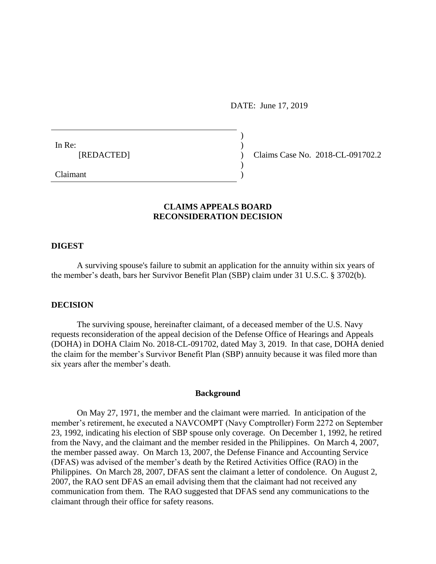DATE: June 17, 2019

) ) ) ) )

In Re: [REDACTED]

Claims Case No. 2018-CL-091702.2

Claimant

## **CLAIMS APPEALS BOARD RECONSIDERATION DECISION**

#### **DIGEST**

A surviving spouse's failure to submit an application for the annuity within six years of the member's death, bars her Survivor Benefit Plan (SBP) claim under 31 U.S.C. § 3702(b).

### **DECISION**

The surviving spouse, hereinafter claimant, of a deceased member of the U.S. Navy requests reconsideration of the appeal decision of the Defense Office of Hearings and Appeals (DOHA) in DOHA Claim No. 2018-CL-091702, dated May 3, 2019. In that case, DOHA denied the claim for the member's Survivor Benefit Plan (SBP) annuity because it was filed more than six years after the member's death.

#### **Background**

On May 27, 1971, the member and the claimant were married. In anticipation of the member's retirement, he executed a NAVCOMPT (Navy Comptroller) Form 2272 on September 23, 1992, indicating his election of SBP spouse only coverage. On December 1, 1992, he retired from the Navy, and the claimant and the member resided in the Philippines. On March 4, 2007, the member passed away. On March 13, 2007, the Defense Finance and Accounting Service (DFAS) was advised of the member's death by the Retired Activities Office (RAO) in the Philippines. On March 28, 2007, DFAS sent the claimant a letter of condolence. On August 2, 2007, the RAO sent DFAS an email advising them that the claimant had not received any communication from them. The RAO suggested that DFAS send any communications to the claimant through their office for safety reasons.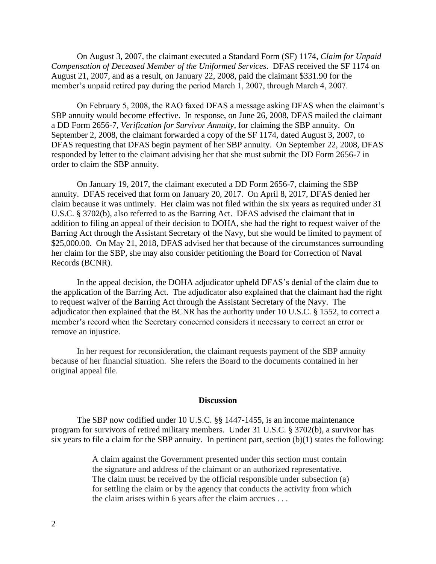On August 3, 2007, the claimant executed a Standard Form (SF) 1174, *Claim for Unpaid Compensation of Deceased Member of the Uniformed Services*. DFAS received the SF 1174 on August 21, 2007, and as a result, on January 22, 2008, paid the claimant \$331.90 for the member's unpaid retired pay during the period March 1, 2007, through March 4, 2007.

On February 5, 2008, the RAO faxed DFAS a message asking DFAS when the claimant's SBP annuity would become effective. In response, on June 26, 2008, DFAS mailed the claimant a DD Form 2656-7, *Verification for Survivor Annuity*, for claiming the SBP annuity. On September 2, 2008, the claimant forwarded a copy of the SF 1174, dated August 3, 2007, to DFAS requesting that DFAS begin payment of her SBP annuity. On September 22, 2008, DFAS responded by letter to the claimant advising her that she must submit the DD Form 2656-7 in order to claim the SBP annuity.

On January 19, 2017, the claimant executed a DD Form 2656-7, claiming the SBP annuity. DFAS received that form on January 20, 2017. On April 8, 2017, DFAS denied her claim because it was untimely. Her claim was not filed within the six years as required under 31 U.S.C. § 3702(b), also referred to as the Barring Act. DFAS advised the claimant that in addition to filing an appeal of their decision to DOHA, she had the right to request waiver of the Barring Act through the Assistant Secretary of the Navy, but she would be limited to payment of \$25,000.00. On May 21, 2018, DFAS advised her that because of the circumstances surrounding her claim for the SBP, she may also consider petitioning the Board for Correction of Naval Records (BCNR).

In the appeal decision, the DOHA adjudicator upheld DFAS's denial of the claim due to the application of the Barring Act. The adjudicator also explained that the claimant had the right to request waiver of the Barring Act through the Assistant Secretary of the Navy. The adjudicator then explained that the BCNR has the authority under 10 U.S.C. § 1552, to correct a member's record when the Secretary concerned considers it necessary to correct an error or remove an injustice.

In her request for reconsideration, the claimant requests payment of the SBP annuity because of her financial situation. She refers the Board to the documents contained in her original appeal file.

#### **Discussion**

The SBP now codified under 10 U.S.C. §§ 1447-1455, is an income maintenance program for survivors of retired military members. Under 31 U.S.C. § 3702(b), a survivor has six years to file a claim for the SBP annuity. In pertinent part, section (b)(1) states the following:

> A claim against the Government presented under this section must contain the signature and address of the claimant or an authorized representative. The claim must be received by the official responsible under subsection (a) for settling the claim or by the agency that conducts the activity from which the claim arises within 6 years after the claim accrues . . .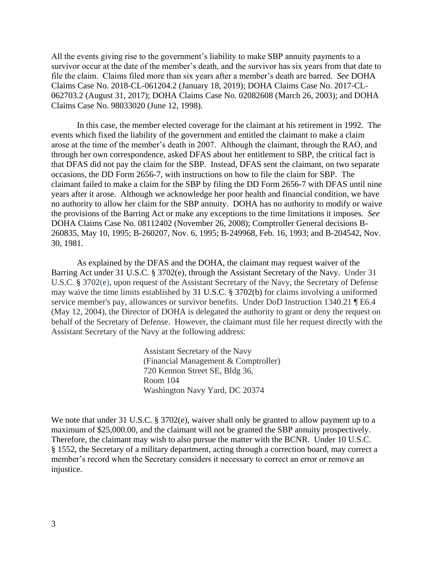All the events giving rise to the government's liability to make SBP annuity payments to a survivor occur at the date of the member's death, and the survivor has six years from that date to file the claim. Claims filed more than six years after a member's death are barred. *See* DOHA Claims Case No. 2018-CL-061204.2 (January 18, 2019); DOHA Claims Case No. 2017-CL-062703.2 (August 31, 2017); DOHA Claims Case No. 02082608 (March 26, 2003); and DOHA Claims Case No. 98033020 (June 12, 1998).

In this case, the member elected coverage for the claimant at his retirement in 1992. The events which fixed the liability of the government and entitled the claimant to make a claim arose at the time of the member's death in 2007. Although the claimant, through the RAO, and through her own correspondence, asked DFAS about her entitlement to SBP, the critical fact is that DFAS did not pay the claim for the SBP. Instead, DFAS sent the claimant, on two separate occasions, the DD Form 2656-7, with instructions on how to file the claim for SBP. The claimant failed to make a claim for the SBP by filing the DD Form 2656-7 with DFAS until nine years after it arose. Although we acknowledge her poor health and financial condition, we have no authority to allow her claim for the SBP annuity. DOHA has no authority to modify or waive the provisions of the Barring Act or make any exceptions to the time limitations it imposes. *See* DOHA Claims Case No. 08112402 (November 26, 2008); Comptroller General decisions B-260835, May 10, 1995; B-260207, Nov. 6, 1995; B-249968, Feb. 16, 1993; and B-204542, Nov. 30, 1981.

As explained by the DFAS and the DOHA, the claimant may request waiver of the Barring Act under 31 U.S.C. § 3702(e), through the Assistant Secretary of the Navy. Under [31](https://1.next.westlaw.com/Link/Document/FullText?findType=L&pubNum=1000546&cite=31USCAS3702&originatingDoc=I03888b18f0cc11e18b05fdf15589d8e8&refType=RB&originationContext=document&transitionType=DocumentItem&contextData=(sc.Search)#co_pp_7fdd00001ca15) U.S.C. § [3702\(e\),](https://1.next.westlaw.com/Link/Document/FullText?findType=L&pubNum=1000546&cite=31USCAS3702&originatingDoc=I03888b18f0cc11e18b05fdf15589d8e8&refType=RB&originationContext=document&transitionType=DocumentItem&contextData=(sc.Search)#co_pp_7fdd00001ca15) upon request of the Assistant Secretary of the Navy, the Secretary of Defense may waive the time limits established by [31 U.S.C. § 3702\(b\)](https://1.next.westlaw.com/Link/Document/FullText?findType=L&pubNum=1000546&cite=31USCAS3702&originatingDoc=I03888b18f0cc11e18b05fdf15589d8e8&refType=RB&originationContext=document&transitionType=DocumentItem&contextData=(sc.Search)#co_pp_a83b000018c76) for claims involving a uniformed service member's pay, allowances or survivor benefits. Under DoD Instruction 1340.21 ¶ E6.4 (May 12, 2004), the Director of DOHA is delegated the authority to grant or deny the request on behalf of the Secretary of Defense. However, the claimant must file her request directly with the Assistant Secretary of the Navy at the following address:

> Assistant Secretary of the Navy (Financial Management & Comptroller) 720 Kennon Street SE, Bldg 36, Room 104 Washington Navy Yard, DC 20374

We note that under 31 U.S.C.  $\S 3702(e)$ , waiver shall only be granted to allow payment up to a maximum of \$25,000.00, and the claimant will not be granted the SBP annuity prospectively. Therefore, the claimant may wish to also pursue the matter with the BCNR. Under 10 U.S.C. § 1552, the Secretary of a military department, acting through a correction board, may correct a member's record when the Secretary considers it necessary to correct an error or remove an injustice.